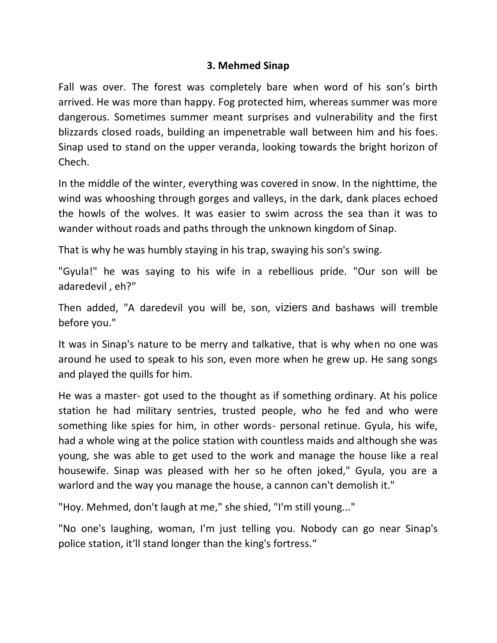## **3. Mehmed Sinap**

Fall was over. The forest was completely bare when word of his son's birth arrived. He was more than happy. Fog protected him, whereas summer was more dangerous. Sometimes summer meant surprises and vulnerability and the first blizzards closed roads, building an impenetrable wall between him and his foes. Sinap used to stand on the upper veranda, looking towards the bright horizon of Chech.

In the middle of the winter, everything was covered in snow. In the nighttime, the wind was whooshing through gorges and valleys, in the dark, dank places echoed the howls of the wolves. It was easier to swim across the sea than it was to wander without roads and paths through the unknown kingdom of Sinap.

That is why he was humbly staying in his trap, swaying his son's swing.

"Gyula!" he was saying to his wife in a rebellious pride. "Our son will be adaredevil , eh?"

Then added, "A daredevil you will be, son, viziers and bashaws will tremble before you."

It was in Sinap's nature to be merry and talkative, that is why when no one was around he used to speak to his son, even more when he grew up. He sang songs and played the quills for him.

He was a master- got used to the thought as if something ordinary. At his police station he had military sentries, trusted people, who he fed and who were something like spies for him, in other words- personal retinue. Gyula, his wife, had a whole wing at the police station with countless maids and although she was young, she was able to get used to the work and manage the house like a real housewife. Sinap was pleased with her so he often joked," Gyula, you are a warlord and the way you manage the house, a cannon can't demolish it."

"Hoy. Mehmed, don't laugh at me," she shied, "I'm still young..."

"No one's laughing, woman, I'm just telling you. Nobody can go near Sinap's police station, it'll stand longer than the king's fortress."